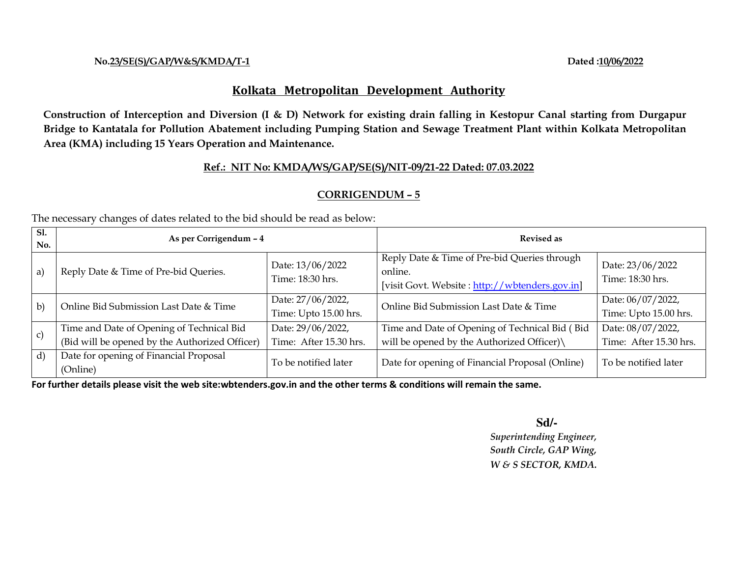#### **No.23/SE(S)/GAP/W&S/KMDA/T-1 Dated :10/06/2022**

# **Kolkata Metropolitan Development Authority**

**Construction of Interception and Diversion (I & D) Network for existing drain falling in Kestopur Canal starting from Durgapur Bridge to Kantatala for Pollution Abatement including Pumping Station and Sewage Treatment Plant within Kolkata Metropolitan Area (KMA) including 15 Years Operation and Maintenance.** 

# **Ref.: NIT No: KMDA/WS/GAP/SE(S)/NIT-09/21-22 Dated: 07.03.2022**

# **CORRIGENDUM – 5**

The necessary changes of dates related to the bid should be read as below:

| Sl.<br>No.   | As per Corrigendum - 4                                                                      |                                             | <b>Revised as</b>                                                                                         |                                             |
|--------------|---------------------------------------------------------------------------------------------|---------------------------------------------|-----------------------------------------------------------------------------------------------------------|---------------------------------------------|
| a)           | Reply Date & Time of Pre-bid Queries.                                                       | Date: 13/06/2022<br>Time: 18:30 hrs.        | Reply Date & Time of Pre-bid Queries through<br>online.<br>[visit Govt. Website: http://wbtenders.gov.in] | Date: 23/06/2022<br>Time: 18:30 hrs.        |
| $\mathbf{b}$ | Online Bid Submission Last Date & Time                                                      | Date: 27/06/2022,<br>Time: Upto 15.00 hrs.  | Online Bid Submission Last Date & Time                                                                    | Date: 06/07/2022,<br>Time: Upto 15.00 hrs.  |
| $\vert c)$   | Time and Date of Opening of Technical Bid<br>(Bid will be opened by the Authorized Officer) | Date: 29/06/2022,<br>Time: After 15.30 hrs. | Time and Date of Opening of Technical Bid (Bid<br>will be opened by the Authorized Officer)\              | Date: 08/07/2022,<br>Time: After 15.30 hrs. |
| (d)          | Date for opening of Financial Proposal<br>(Online)                                          | To be notified later                        | Date for opening of Financial Proposal (Online)                                                           | To be notified later                        |

**For further details please visit the web site:wbtenders.gov.in and the other terms & conditions will remain the same.** 

**Sd/-**  $S$ d/-  *Superintending Engineer, South Circle, GAP Wing, W & S SECTOR, KMDA.*